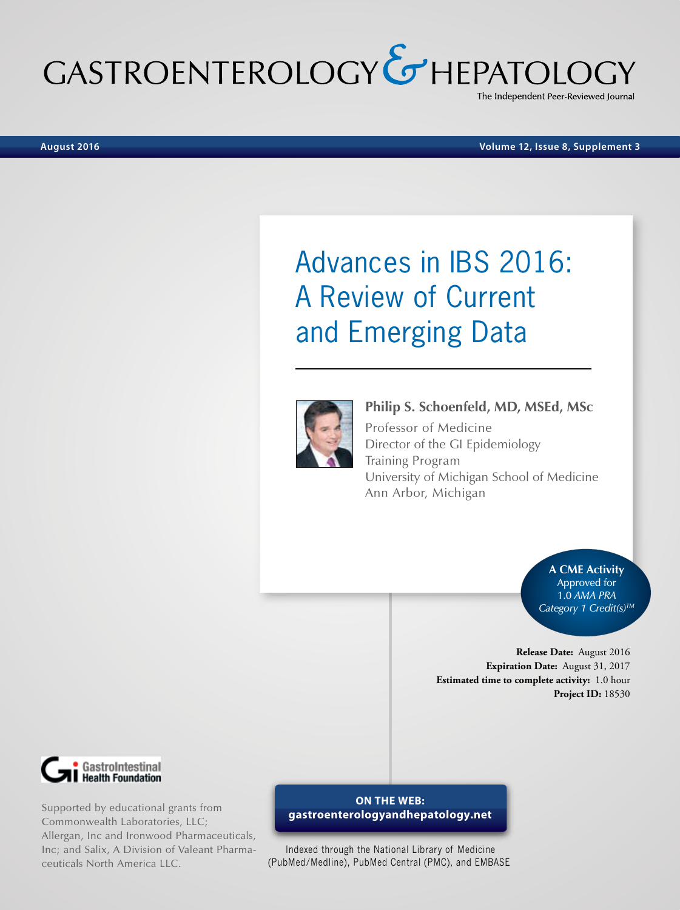# GASTROENTEROLOGY & HEPATOLO The Independent Peer-Reviewed Journal

**August 2016 Volume 12, Issue 8, Supplement 3**

# Advances in IBS 2016: A Review of Current and Emerging Data



**Philip S. Schoenfeld, MD, MSEd, MSc** Professor of Medicine Director of the GI Epidemiology Training Program University of Michigan School of Medicine Ann Arbor, Michigan

> **A CME Activity**  Approved for 1.0 *AMA PRA Category 1 Credit(s)TM*

**Release Date:** August 2016 **Expiration Date:** August 31, 2017 **Estimated time to complete activity:** 1.0 hour **Project ID:** 18530



Supported by educational grants from Commonwealth Laboratories, LLC; Allergan, Inc and Ironwood Pharmaceuticals, Inc; and Salix, A Division of Valeant Pharmaceuticals North America LLC.

## **ON THE WEB: gastroenterologyandhepatology.net**

Indexed through the National Library of Medicine (PubMed/Medline), PubMed Central (PMC), and EMBASE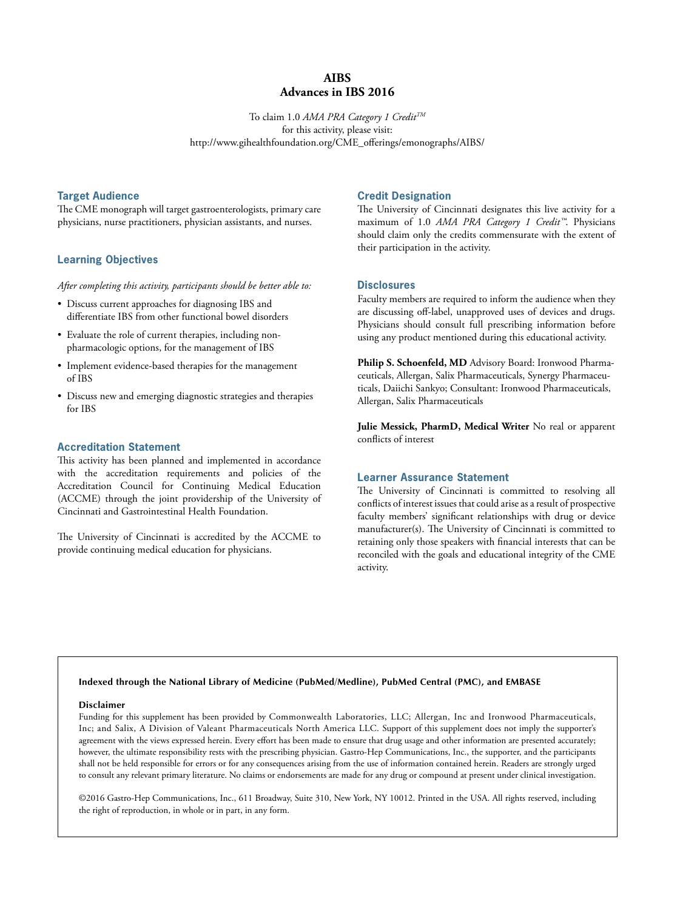## **AIBS Advances in IBS 2016**

To claim 1.0 *AMA PRA Category 1 CreditTM* for this activity, please visit: http://www.gihealthfoundation.org/CME\_offerings/emonographs/AIBS/

#### **Target Audience**

The CME monograph will target gastroenterologists, primary care physicians, nurse practitioners, physician assistants, and nurses.

## **Learning Objectives**

*After completing this activity, participants should be better able to:*

- Discuss current approaches for diagnosing IBS and differentiate IBS from other functional bowel disorders
- Evaluate the role of current therapies, including nonpharmacologic options, for the management of IBS
- Implement evidence-based therapies for the management of IBS
- Discuss new and emerging diagnostic strategies and therapies for IBS

#### **Accreditation Statement**

This activity has been planned and implemented in accordance with the accreditation requirements and policies of the Accreditation Council for Continuing Medical Education (ACCME) through the joint providership of the University of Cincinnati and Gastrointestinal Health Foundation.

The University of Cincinnati is accredited by the ACCME to provide continuing medical education for physicians.

## **Credit Designation**

The University of Cincinnati designates this live activity for a maximum of 1.0 *AMA PRA Category 1 Credit™*. Physicians should claim only the credits commensurate with the extent of their participation in the activity.

## **Disclosures**

Faculty members are required to inform the audience when they are discussing off-label, unapproved uses of devices and drugs. Physicians should consult full prescribing information before using any product mentioned during this educational activity.

**Philip S. Schoenfeld, MD** Advisory Board: Ironwood Pharmaceuticals, Allergan, Salix Pharmaceuticals, Synergy Pharmaceuticals, Daiichi Sankyo; Consultant: Ironwood Pharmaceuticals, Allergan, Salix Pharmaceuticals

**Julie Messick, PharmD, Medical Writer** No real or apparent conflicts of interest

#### **Learner Assurance Statement**

The University of Cincinnati is committed to resolving all conflicts of interest issues that could arise as a result of prospective faculty members' significant relationships with drug or device manufacturer(s). The University of Cincinnati is committed to retaining only those speakers with financial interests that can be reconciled with the goals and educational integrity of the CME activity.

#### **Indexed through the National Library of Medicine (PubMed/Medline), PubMed Central (PMC), and EMBASE**

#### **Disclaimer**

Funding for this supplement has been provided by Commonwealth Laboratories, LLC; Allergan, Inc and Ironwood Pharmaceuticals, Inc; and Salix, A Division of Valeant Pharmaceuticals North America LLC. Support of this supplement does not imply the supporter's agreement with the views expressed herein. Every effort has been made to ensure that drug usage and other information are presented accurately; however, the ultimate responsibility rests with the prescribing physician. Gastro-Hep Communications, Inc., the supporter, and the participants shall not be held responsible for errors or for any consequences arising from the use of information contained herein. Readers are strongly urged to consult any relevant primary literature. No claims or endorsements are made for any drug or compound at present under clinical investigation.

©2016 Gastro-Hep Communications, Inc., 611 Broadway, Suite 310, New York, NY 10012. Printed in the USA. All rights reserved, including the right of reproduction, in whole or in part, in any form.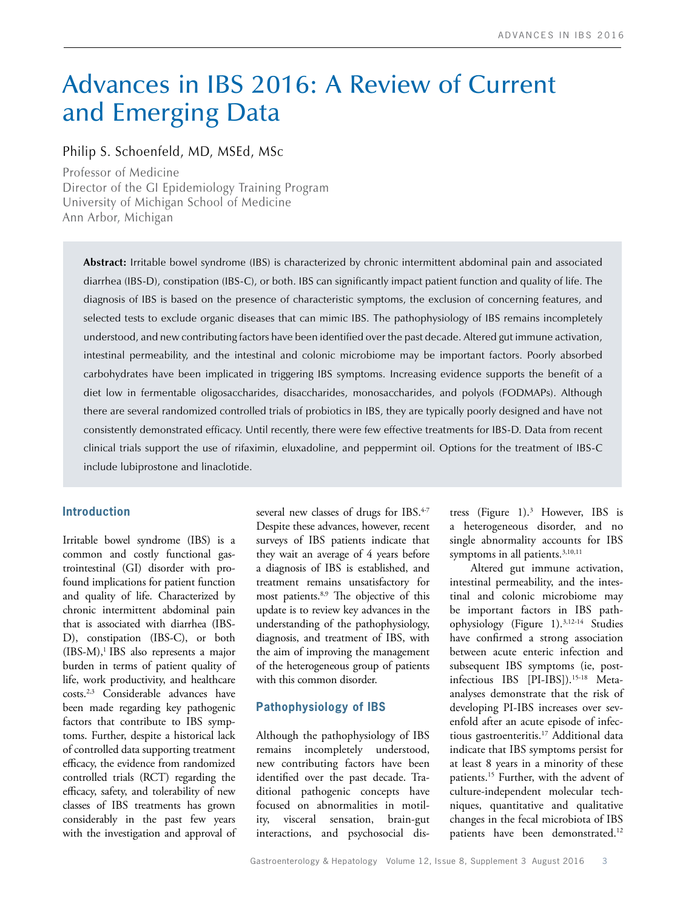## Advances in IBS 2016: A Review of Current and Emerging Data

## Philip S. Schoenfeld, MD, MSEd, MSc

Professor of Medicine Director of the GI Epidemiology Training Program University of Michigan School of Medicine Ann Arbor, Michigan

**Abstract:** Irritable bowel syndrome (IBS) is characterized by chronic intermittent abdominal pain and associated diarrhea (IBS-D), constipation (IBS-C), or both. IBS can significantly impact patient function and quality of life. The diagnosis of IBS is based on the presence of characteristic symptoms, the exclusion of concerning features, and selected tests to exclude organic diseases that can mimic IBS. The pathophysiology of IBS remains incompletely understood, and new contributing factors have been identified over the past decade. Altered gut immune activation, intestinal permeability, and the intestinal and colonic microbiome may be important factors. Poorly absorbed carbohydrates have been implicated in triggering IBS symptoms. Increasing evidence supports the benefit of a diet low in fermentable oligosaccharides, disaccharides, monosaccharides, and polyols (FODMAPs). Although there are several randomized controlled trials of probiotics in IBS, they are typically poorly designed and have not consistently demonstrated efficacy. Until recently, there were few effective treatments for IBS-D. Data from recent clinical trials support the use of rifaximin, eluxadoline, and peppermint oil. Options for the treatment of IBS-C include lubiprostone and linaclotide.

## **Introduction**

Irritable bowel syndrome (IBS) is a common and costly functional gastrointestinal (GI) disorder with profound implications for patient function and quality of life. Characterized by chronic intermittent abdominal pain that is associated with diarrhea (IBS-D), constipation (IBS-C), or both (IBS-M),<sup>1</sup> IBS also represents a major burden in terms of patient quality of life, work productivity, and healthcare costs.2,3 Considerable advances have been made regarding key pathogenic factors that contribute to IBS symptoms. Further, despite a historical lack of controlled data supporting treatment efficacy, the evidence from randomized controlled trials (RCT) regarding the efficacy, safety, and tolerability of new classes of IBS treatments has grown considerably in the past few years with the investigation and approval of several new classes of drugs for IBS.<sup>4-7</sup> Despite these advances, however, recent surveys of IBS patients indicate that they wait an average of 4 years before a diagnosis of IBS is established, and treatment remains unsatisfactory for most patients.8,9 The objective of this update is to review key advances in the understanding of the pathophysiology, diagnosis, and treatment of IBS, with the aim of improving the management of the heterogeneous group of patients with this common disorder.

## **Pathophysiology of IBS**

Although the pathophysiology of IBS remains incompletely understood, new contributing factors have been identified over the past decade. Traditional pathogenic concepts have focused on abnormalities in motility, visceral sensation, brain-gut interactions, and psychosocial dis-

tress (Figure 1).3 However, IBS is a heterogeneous disorder, and no single abnormality accounts for IBS symptoms in all patients.<sup>3,10,11</sup>

Altered gut immune activation, intestinal permeability, and the intestinal and colonic microbiome may be important factors in IBS pathophysiology (Figure 1).3,12-14 Studies have confirmed a strong association between acute enteric infection and subsequent IBS symptoms (ie, postinfectious IBS [PI-IBS]).<sup>15-18</sup> Metaanalyses demonstrate that the risk of developing PI-IBS increases over sevenfold after an acute episode of infectious gastroenteritis.17 Additional data indicate that IBS symptoms persist for at least 8 years in a minority of these patients.15 Further, with the advent of culture-independent molecular techniques, quantitative and qualitative changes in the fecal microbiota of IBS patients have been demonstrated.<sup>12</sup>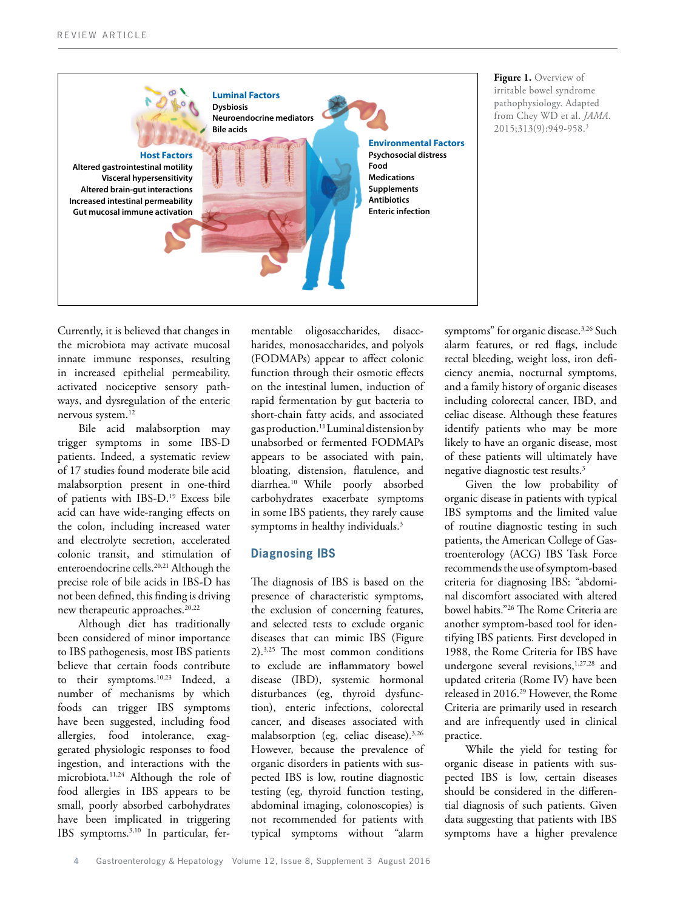

**Figure 1.** Overview of irritable bowel syndrome pathophysiology. Adapted from Chey WD et al. *JAMA*. 2015;313(9):949-958.3

Currently, it is believed that changes in the microbiota may activate mucosal innate immune responses, resulting in increased epithelial permeability, activated nociceptive sensory pathways, and dysregulation of the enteric nervous system.<sup>12</sup>

Bile acid malabsorption may trigger symptoms in some IBS-D patients. Indeed, a systematic review of 17 studies found moderate bile acid malabsorption present in one-third of patients with IBS-D.19 Excess bile acid can have wide-ranging effects on the colon, including increased water and electrolyte secretion, accelerated colonic transit, and stimulation of enteroendocrine cells.<sup>20,21</sup> Although the precise role of bile acids in IBS-D has not been defined, this finding is driving new therapeutic approaches.<sup>20,22</sup>

Although diet has traditionally been considered of minor importance to IBS pathogenesis, most IBS patients believe that certain foods contribute to their symptoms.<sup>10,23</sup> Indeed, a number of mechanisms by which foods can trigger IBS symptoms have been suggested, including food allergies, food intolerance, exaggerated physiologic responses to food ingestion, and interactions with the microbiota.<sup>11,24</sup> Although the role of food allergies in IBS appears to be small, poorly absorbed carbohydrates have been implicated in triggering IBS symptoms.3,10 In particular, fermentable oligosaccharides, disaccharides, monosaccharides, and polyols (FODMAPs) appear to affect colonic function through their osmotic effects on the intestinal lumen, induction of rapid fermentation by gut bacteria to short-chain fatty acids, and associated gas production.11 Luminal distension by unabsorbed or fermented FODMAPs appears to be associated with pain, bloating, distension, flatulence, and diarrhea.10 While poorly absorbed carbohydrates exacerbate symptoms in some IBS patients, they rarely cause symptoms in healthy individuals.<sup>3</sup>

## **Diagnosing IBS**

The diagnosis of IBS is based on the presence of characteristic symptoms, the exclusion of concerning features, and selected tests to exclude organic diseases that can mimic IBS (Figure 2).3,25 The most common conditions to exclude are inflammatory bowel disease (IBD), systemic hormonal disturbances (eg, thyroid dysfunction), enteric infections, colorectal cancer, and diseases associated with malabsorption (eg, celiac disease).<sup>3,26</sup> However, because the prevalence of organic disorders in patients with suspected IBS is low, routine diagnostic testing (eg, thyroid function testing, abdominal imaging, colonoscopies) is not recommended for patients with typical symptoms without "alarm

symptoms" for organic disease.<sup>3,26</sup> Such alarm features, or red flags, include rectal bleeding, weight loss, iron deficiency anemia, nocturnal symptoms, and a family history of organic diseases including colorectal cancer, IBD, and celiac disease. Although these features identify patients who may be more likely to have an organic disease, most of these patients will ultimately have negative diagnostic test results.3

Given the low probability of organic disease in patients with typical IBS symptoms and the limited value of routine diagnostic testing in such patients, the American College of Gastroenterology (ACG) IBS Task Force recommends the use of symptom-based criteria for diagnosing IBS: "abdominal discomfort associated with altered bowel habits."26 The Rome Criteria are another symptom-based tool for identifying IBS patients. First developed in 1988, the Rome Criteria for IBS have undergone several revisions,<sup>1,27,28</sup> and updated criteria (Rome IV) have been released in 2016.29 However, the Rome Criteria are primarily used in research and are infrequently used in clinical practice.

While the yield for testing for organic disease in patients with suspected IBS is low, certain diseases should be considered in the differential diagnosis of such patients. Given data suggesting that patients with IBS symptoms have a higher prevalence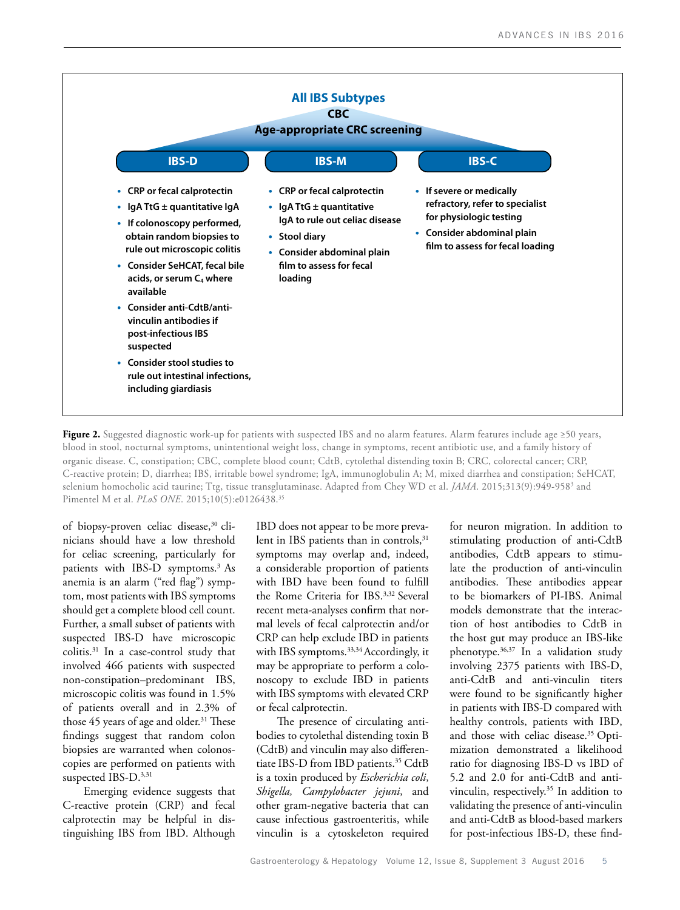

Figure 2. Suggested diagnostic work-up for patients with suspected IBS and no alarm features. Alarm features include age ≥50 years, blood in stool, nocturnal symptoms, unintentional weight loss, change in symptoms, recent antibiotic use, and a family history of organic disease. C, constipation; CBC, complete blood count; CdtB, cytolethal distending toxin B; CRC, colorectal cancer; CRP, C-reactive protein; D, diarrhea; IBS, irritable bowel syndrome; IgA, immunoglobulin A; M, mixed diarrhea and constipation; SeHCAT, selenium homocholic acid taurine; Ttg, tissue transglutaminase. Adapted from Chey WD et al. *JAMA*. 2015;313(9):949-958<sup>3</sup> and Pimentel M et al. *PLoS ONE*. 2015;10(5):e0126438.35

of biopsy-proven celiac disease,<sup>30</sup> clinicians should have a low threshold for celiac screening, particularly for patients with IBS-D symptoms.<sup>3</sup> As anemia is an alarm ("red flag") symptom, most patients with IBS symptoms should get a complete blood cell count. Further, a small subset of patients with suspected IBS-D have microscopic colitis.31 In a case-control study that involved 466 patients with suspected non-constipation–predominant IBS, microscopic colitis was found in 1.5% of patients overall and in 2.3% of those 45 years of age and older.<sup>31</sup> These findings suggest that random colon biopsies are warranted when colonoscopies are performed on patients with suspected IBS-D.<sup>3,31</sup>

Emerging evidence suggests that C-reactive protein (CRP) and fecal calprotectin may be helpful in distinguishing IBS from IBD. Although IBD does not appear to be more prevalent in IBS patients than in controls,<sup>31</sup> symptoms may overlap and, indeed, a considerable proportion of patients with IBD have been found to fulfill the Rome Criteria for IBS.3,32 Several recent meta-analyses confirm that normal levels of fecal calprotectin and/or CRP can help exclude IBD in patients with IBS symptoms.<sup>33,34</sup> Accordingly, it may be appropriate to perform a colonoscopy to exclude IBD in patients with IBS symptoms with elevated CRP or fecal calprotectin.

The presence of circulating antibodies to cytolethal distending toxin B (CdtB) and vinculin may also differentiate IBS-D from IBD patients.<sup>35</sup> CdtB is a toxin produced by *Escherichia coli*, *Shigella, Campylobacter jejuni*, and other gram-negative bacteria that can cause infectious gastroenteritis, while vinculin is a cytoskeleton required

for neuron migration. In addition to stimulating production of anti-CdtB antibodies, CdtB appears to stimulate the production of anti-vinculin antibodies. These antibodies appear to be biomarkers of PI-IBS. Animal models demonstrate that the interaction of host antibodies to CdtB in the host gut may produce an IBS-like phenotype.36,37 In a validation study involving 2375 patients with IBS-D, anti-CdtB and anti-vinculin titers were found to be significantly higher in patients with IBS-D compared with healthy controls, patients with IBD, and those with celiac disease.<sup>35</sup> Optimization demonstrated a likelihood ratio for diagnosing IBS-D vs IBD of 5.2 and 2.0 for anti-CdtB and antivinculin, respectively.35 In addition to validating the presence of anti-vinculin and anti-CdtB as blood-based markers for post-infectious IBS-D, these find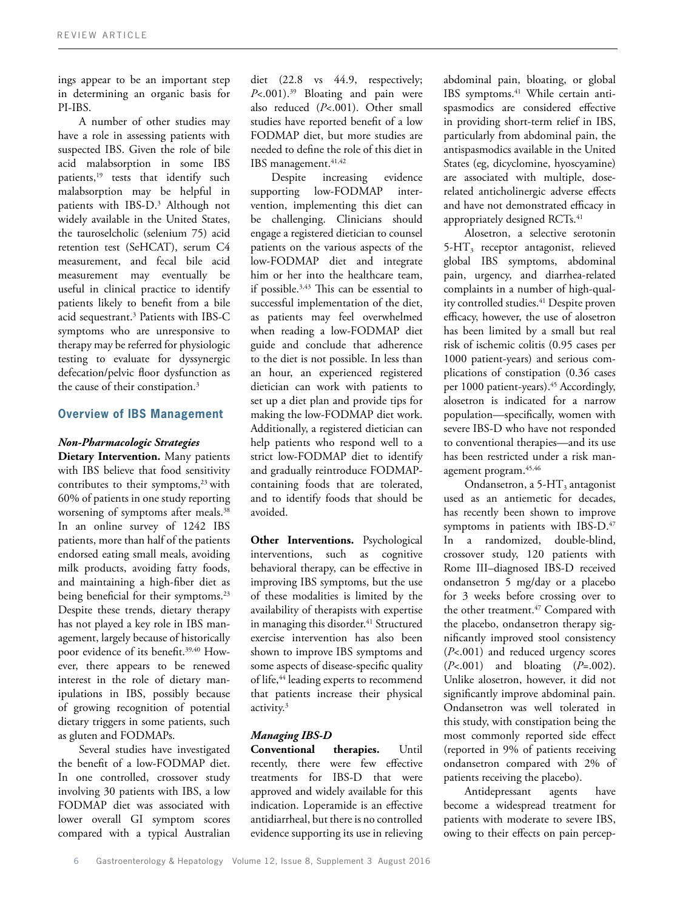ings appear to be an important step in determining an organic basis for PI-IBS.

A number of other studies may have a role in assessing patients with suspected IBS. Given the role of bile acid malabsorption in some IBS patients,<sup>19</sup> tests that identify such malabsorption may be helpful in patients with IBS-D.3 Although not widely available in the United States, the tauroselcholic (selenium 75) acid retention test (SeHCAT), serum C4 measurement, and fecal bile acid measurement may eventually be useful in clinical practice to identify patients likely to benefit from a bile acid sequestrant.3 Patients with IBS-C symptoms who are unresponsive to therapy may be referred for physiologic testing to evaluate for dyssynergic defecation/pelvic floor dysfunction as the cause of their constipation.<sup>3</sup>

## **Overview of IBS Management**

## *Non-Pharmacologic Strategies*

**Dietary Intervention.** Many patients with IBS believe that food sensitivity contributes to their symptoms,<sup>23</sup> with 60% of patients in one study reporting worsening of symptoms after meals.<sup>38</sup> In an online survey of 1242 IBS patients, more than half of the patients endorsed eating small meals, avoiding milk products, avoiding fatty foods, and maintaining a high-fiber diet as being beneficial for their symptoms.<sup>23</sup> Despite these trends, dietary therapy has not played a key role in IBS management, largely because of historically poor evidence of its benefit.<sup>39,40</sup> However, there appears to be renewed interest in the role of dietary manipulations in IBS, possibly because of growing recognition of potential dietary triggers in some patients, such as gluten and FODMAPs.

Several studies have investigated the benefit of a low-FODMAP diet. In one controlled, crossover study involving 30 patients with IBS, a low FODMAP diet was associated with lower overall GI symptom scores compared with a typical Australian diet (22.8 vs 44.9, respectively; *P*<.001).<sup>39</sup> Bloating and pain were also reduced (*P*<.001). Other small studies have reported benefit of a low FODMAP diet, but more studies are needed to define the role of this diet in IBS management.<sup>41,42</sup>

Despite increasing evidence supporting low-FODMAP intervention, implementing this diet can be challenging. Clinicians should engage a registered dietician to counsel patients on the various aspects of the low-FODMAP diet and integrate him or her into the healthcare team, if possible.3,43 This can be essential to successful implementation of the diet, as patients may feel overwhelmed when reading a low-FODMAP diet guide and conclude that adherence to the diet is not possible. In less than an hour, an experienced registered dietician can work with patients to set up a diet plan and provide tips for making the low-FODMAP diet work. Additionally, a registered dietician can help patients who respond well to a strict low-FODMAP diet to identify and gradually reintroduce FODMAPcontaining foods that are tolerated, and to identify foods that should be avoided.

**Other Interventions.** Psychological interventions, such as cognitive behavioral therapy, can be effective in improving IBS symptoms, but the use of these modalities is limited by the availability of therapists with expertise in managing this disorder.<sup>41</sup> Structured exercise intervention has also been shown to improve IBS symptoms and some aspects of disease-specific quality of life,<sup>44</sup> leading experts to recommend that patients increase their physical activity.<sup>3</sup>

## *Managing IBS-D*

**Conventional therapies.** Until recently, there were few effective treatments for IBS-D that were approved and widely available for this indication. Loperamide is an effective antidiarrheal, but there is no controlled evidence supporting its use in relieving

abdominal pain, bloating, or global IBS symptoms.<sup>41</sup> While certain antispasmodics are considered effective in providing short-term relief in IBS, particularly from abdominal pain, the antispasmodics available in the United States (eg, dicyclomine, hyoscyamine) are associated with multiple, doserelated anticholinergic adverse effects and have not demonstrated efficacy in appropriately designed RCTs.<sup>41</sup>

Alosetron, a selective serotonin  $5-HT<sub>3</sub>$  receptor antagonist, relieved global IBS symptoms, abdominal pain, urgency, and diarrhea-related complaints in a number of high-quality controlled studies.<sup>41</sup> Despite proven efficacy, however, the use of alosetron has been limited by a small but real risk of ischemic colitis (0.95 cases per 1000 patient-years) and serious complications of constipation (0.36 cases per 1000 patient-years).<sup>45</sup> Accordingly, alosetron is indicated for a narrow population—specifically, women with severe IBS-D who have not responded to conventional therapies—and its use has been restricted under a risk management program.45,46

Ondansetron, a  $5-HT_3$  antagonist used as an antiemetic for decades, has recently been shown to improve symptoms in patients with IBS-D.<sup>47</sup> In a randomized, double-blind, crossover study, 120 patients with Rome III–diagnosed IBS-D received ondansetron 5 mg/day or a placebo for 3 weeks before crossing over to the other treatment.<sup>47</sup> Compared with the placebo, ondansetron therapy significantly improved stool consistency (*P*<.001) and reduced urgency scores (*P*<.001) and bloating (*P*=.002). Unlike alosetron, however, it did not significantly improve abdominal pain. Ondansetron was well tolerated in this study, with constipation being the most commonly reported side effect (reported in 9% of patients receiving ondansetron compared with 2% of patients receiving the placebo).

Antidepressant agents have become a widespread treatment for patients with moderate to severe IBS, owing to their effects on pain percep-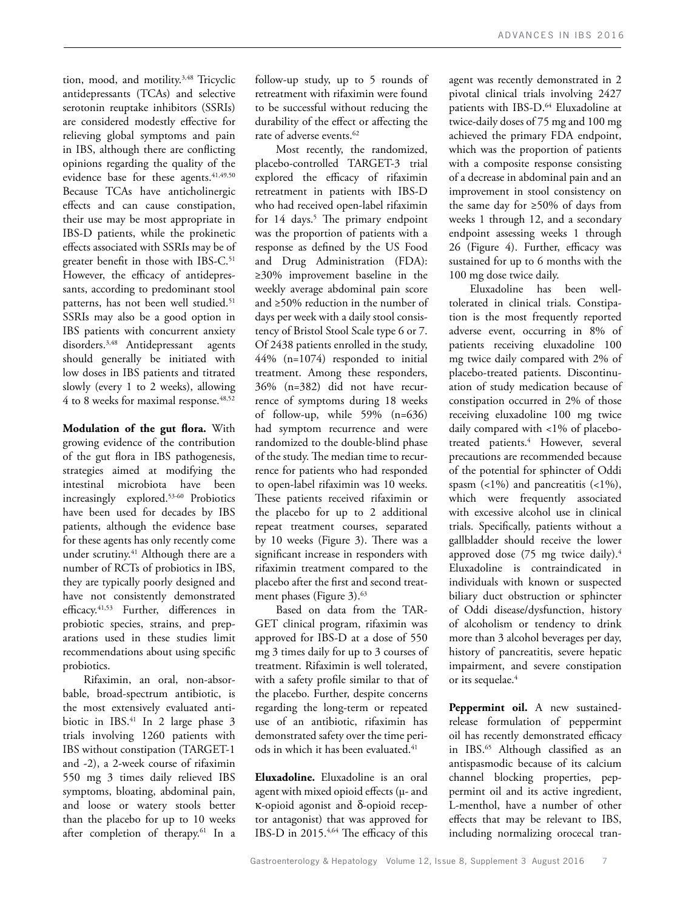tion, mood, and motility.<sup>3,48</sup> Tricyclic antidepressants (TCAs) and selective serotonin reuptake inhibitors (SSRIs) are considered modestly effective for relieving global symptoms and pain in IBS, although there are conflicting opinions regarding the quality of the evidence base for these agents.<sup>41,49,50</sup> Because TCAs have anticholinergic effects and can cause constipation, their use may be most appropriate in IBS-D patients, while the prokinetic effects associated with SSRIs may be of greater benefit in those with IBS-C.<sup>51</sup> However, the efficacy of antidepressants, according to predominant stool patterns, has not been well studied.<sup>51</sup> SSRIs may also be a good option in IBS patients with concurrent anxiety disorders.<sup>3,48</sup> Antidepressant agents should generally be initiated with low doses in IBS patients and titrated slowly (every 1 to 2 weeks), allowing 4 to 8 weeks for maximal response.<sup>48,52</sup>

**Modulation of the gut flora.** With growing evidence of the contribution of the gut flora in IBS pathogenesis, strategies aimed at modifying the intestinal microbiota have been increasingly explored.53-60 Probiotics have been used for decades by IBS patients, although the evidence base for these agents has only recently come under scrutiny.<sup>41</sup> Although there are a number of RCTs of probiotics in IBS, they are typically poorly designed and have not consistently demonstrated efficacy.41,53 Further, differences in probiotic species, strains, and preparations used in these studies limit recommendations about using specific probiotics.

Rifaximin, an oral, non-absorbable, broad-spectrum antibiotic, is the most extensively evaluated antibiotic in IBS.<sup>41</sup> In 2 large phase 3 trials involving 1260 patients with IBS without constipation (TARGET-1 and -2), a 2-week course of rifaximin 550 mg 3 times daily relieved IBS symptoms, bloating, abdominal pain, and loose or watery stools better than the placebo for up to 10 weeks after completion of therapy.<sup>61</sup> In a

follow-up study, up to 5 rounds of retreatment with rifaximin were found to be successful without reducing the durability of the effect or affecting the rate of adverse events.<sup>62</sup>

Most recently, the randomized, placebo-controlled TARGET-3 trial explored the efficacy of rifaximin retreatment in patients with IBS-D who had received open-label rifaximin for 14 days.<sup>5</sup> The primary endpoint was the proportion of patients with a response as defined by the US Food and Drug Administration (FDA): ≥30% improvement baseline in the weekly average abdominal pain score and ≥50% reduction in the number of days per week with a daily stool consistency of Bristol Stool Scale type 6 or 7. Of 2438 patients enrolled in the study, 44% (n=1074) responded to initial treatment. Among these responders, 36% (n=382) did not have recurrence of symptoms during 18 weeks of follow-up, while 59% (n=636) had symptom recurrence and were randomized to the double-blind phase of the study. The median time to recurrence for patients who had responded to open-label rifaximin was 10 weeks. These patients received rifaximin or the placebo for up to 2 additional repeat treatment courses, separated by 10 weeks (Figure 3). There was a significant increase in responders with rifaximin treatment compared to the placebo after the first and second treatment phases (Figure 3).<sup>63</sup>

Based on data from the TAR-GET clinical program, rifaximin was approved for IBS-D at a dose of 550 mg 3 times daily for up to 3 courses of treatment. Rifaximin is well tolerated, with a safety profile similar to that of the placebo. Further, despite concerns regarding the long-term or repeated use of an antibiotic, rifaximin has demonstrated safety over the time periods in which it has been evaluated.<sup>41</sup>

**Eluxadoline.** Eluxadoline is an oral agent with mixed opioid effects (µ- and κ-opioid agonist and δ-opioid receptor antagonist) that was approved for IBS-D in 2015.4,64 The efficacy of this agent was recently demonstrated in 2 pivotal clinical trials involving 2427 patients with IBS-D.<sup>64</sup> Eluxadoline at twice-daily doses of 75 mg and 100 mg achieved the primary FDA endpoint, which was the proportion of patients with a composite response consisting of a decrease in abdominal pain and an improvement in stool consistency on the same day for ≥50% of days from weeks 1 through 12, and a secondary endpoint assessing weeks 1 through 26 (Figure 4). Further, efficacy was sustained for up to 6 months with the 100 mg dose twice daily.

Eluxadoline has been welltolerated in clinical trials. Constipation is the most frequently reported adverse event, occurring in 8% of patients receiving eluxadoline 100 mg twice daily compared with 2% of placebo-treated patients. Discontinuation of study medication because of constipation occurred in 2% of those receiving eluxadoline 100 mg twice daily compared with <1% of placebotreated patients.<sup>4</sup> However, several precautions are recommended because of the potential for sphincter of Oddi spasm  $($ <1%) and pancreatitis  $($ <1%), which were frequently associated with excessive alcohol use in clinical trials. Specifically, patients without a gallbladder should receive the lower approved dose (75 mg twice daily).<sup>4</sup> Eluxadoline is contraindicated in individuals with known or suspected biliary duct obstruction or sphincter of Oddi disease/dysfunction, history of alcoholism or tendency to drink more than 3 alcohol beverages per day, history of pancreatitis, severe hepatic impairment, and severe constipation or its sequelae.<sup>4</sup>

**Peppermint oil.** A new sustainedrelease formulation of peppermint oil has recently demonstrated efficacy in IBS.<sup>65</sup> Although classified as an antispasmodic because of its calcium channel blocking properties, peppermint oil and its active ingredient, L-menthol, have a number of other effects that may be relevant to IBS, including normalizing orocecal tran-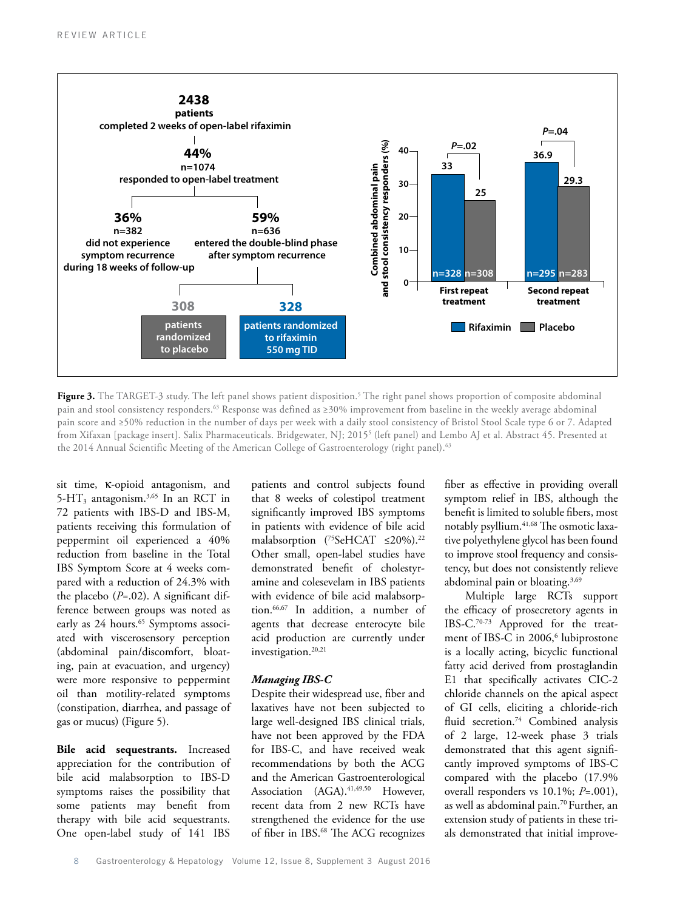

**Figure 3.** The TARGET-3 study. The left panel shows patient disposition.<sup>5</sup> The right panel shows proportion of composite abdominal pain and stool consistency responders.63 Response was defined as ≥30% improvement from baseline in the weekly average abdominal pain score and ≥50% reduction in the number of days per week with a daily stool consistency of Bristol Stool Scale type 6 or 7. Adapted from Xifaxan [package insert]. Salix Pharmaceuticals. Bridgewater, NJ; 2015<sup>5</sup> (left panel) and Lembo AJ et al. Abstract 45. Presented at the 2014 Annual Scientific Meeting of the American College of Gastroenterology (right panel).<sup>63</sup>

sit time, κ-opioid antagonism, and 5-HT<sub>3</sub> antagonism.<sup>3,65</sup> In an RCT in 72 patients with IBS-D and IBS-M, patients receiving this formulation of peppermint oil experienced a 40% reduction from baseline in the Total IBS Symptom Score at 4 weeks compared with a reduction of 24.3% with the placebo (*P*=.02). A significant difference between groups was noted as early as 24 hours.<sup>65</sup> Symptoms associated with viscerosensory perception (abdominal pain/discomfort, bloating, pain at evacuation, and urgency) were more responsive to peppermint oil than motility-related symptoms (constipation, diarrhea, and passage of gas or mucus) (Figure 5).

**Bile acid sequestrants.** Increased appreciation for the contribution of bile acid malabsorption to IBS-D symptoms raises the possibility that some patients may benefit from therapy with bile acid sequestrants. One open-label study of 141 IBS

patients and control subjects found that 8 weeks of colestipol treatment significantly improved IBS symptoms in patients with evidence of bile acid malabsorption (<sup>75</sup>SeHCAT ≤20%).<sup>22</sup> Other small, open-label studies have demonstrated benefit of cholestyramine and colesevelam in IBS patients with evidence of bile acid malabsorption.66,67 In addition, a number of agents that decrease enterocyte bile acid production are currently under investigation.<sup>20,21</sup>

#### *Managing IBS-C*

Despite their widespread use, fiber and laxatives have not been subjected to large well-designed IBS clinical trials, have not been approved by the FDA for IBS-C, and have received weak recommendations by both the ACG and the American Gastroenterological Association (AGA).<sup>41,49,50</sup> However, recent data from 2 new RCTs have strengthened the evidence for the use of fiber in IBS.<sup>68</sup> The ACG recognizes fiber as effective in providing overall symptom relief in IBS, although the benefit is limited to soluble fibers, most notably psyllium.41,68 The osmotic laxative polyethylene glycol has been found to improve stool frequency and consistency, but does not consistently relieve abdominal pain or bloating.<sup>3,69</sup>

Multiple large RCTs support the efficacy of prosecretory agents in IBS-C.70-73 Approved for the treatment of IBS-C in 2006,<sup>6</sup> lubiprostone is a locally acting, bicyclic functional fatty acid derived from prostaglandin E1 that specifically activates CIC-2 chloride channels on the apical aspect of GI cells, eliciting a chloride-rich fluid secretion.<sup>74</sup> Combined analysis of 2 large, 12-week phase 3 trials demonstrated that this agent significantly improved symptoms of IBS-C compared with the placebo (17.9% overall responders vs 10.1%; *P*=.001), as well as abdominal pain.70 Further, an extension study of patients in these trials demonstrated that initial improve-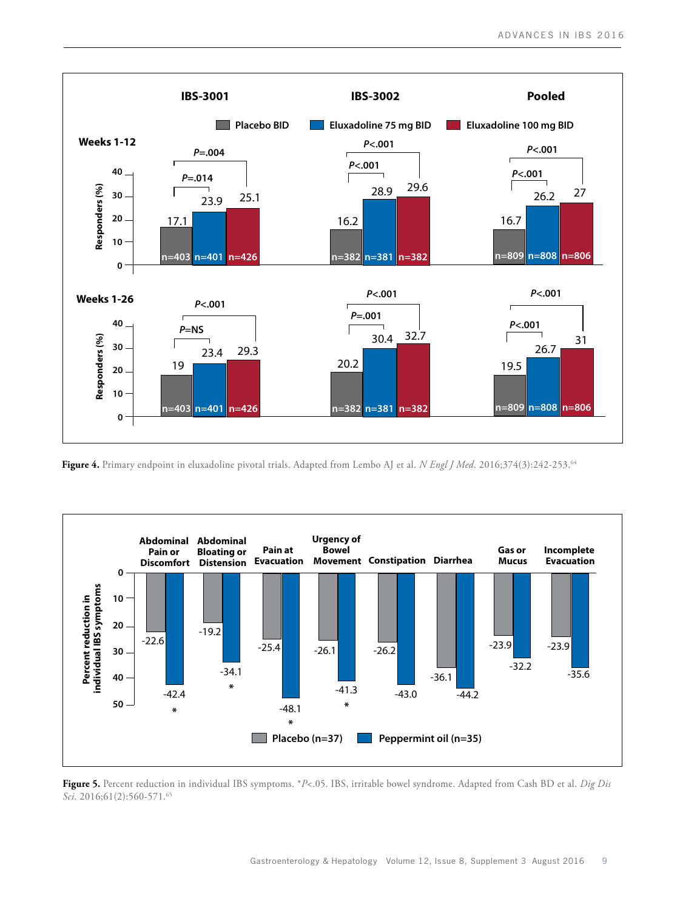

**Figure 4.** Primary endpoint in eluxadoline pivotal trials. Adapted from Lembo AJ et al. *N Engl J Med*. 2016;374(3):242-253.64



**Figure 5.** Percent reduction in individual IBS symptoms. \**P*<.05. IBS, irritable bowel syndrome. Adapted from Cash BD et al. *Dig Dis Sci*. 2016;61(2):560-571.65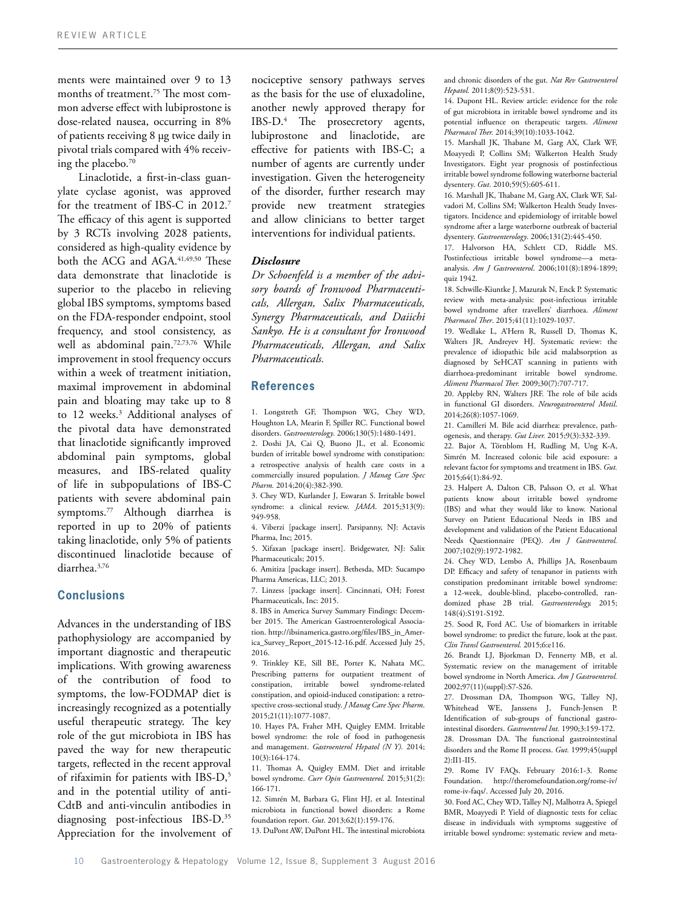ments were maintained over 9 to 13 months of treatment.75 The most common adverse effect with lubiprostone is dose-related nausea, occurring in 8% of patients receiving 8 µg twice daily in pivotal trials compared with 4% receiving the placebo.70

Linaclotide, a first-in-class guanylate cyclase agonist, was approved for the treatment of IBS-C in 2012.7 The efficacy of this agent is supported by 3 RCTs involving 2028 patients, considered as high-quality evidence by both the ACG and AGA.<sup>41,49,50</sup> These data demonstrate that linaclotide is superior to the placebo in relieving global IBS symptoms, symptoms based on the FDA-responder endpoint, stool frequency, and stool consistency, as well as abdominal pain.<sup>72,73,76</sup> While improvement in stool frequency occurs within a week of treatment initiation, maximal improvement in abdominal pain and bloating may take up to 8 to 12 weeks.<sup>3</sup> Additional analyses of the pivotal data have demonstrated that linaclotide significantly improved abdominal pain symptoms, global measures, and IBS-related quality of life in subpopulations of IBS-C patients with severe abdominal pain symptoms.77 Although diarrhea is reported in up to 20% of patients taking linaclotide, only 5% of patients discontinued linaclotide because of diarrhea.3,76

## **Conclusions**

Advances in the understanding of IBS pathophysiology are accompanied by important diagnostic and therapeutic implications. With growing awareness of the contribution of food to symptoms, the low-FODMAP diet is increasingly recognized as a potentially useful therapeutic strategy. The key role of the gut microbiota in IBS has paved the way for new therapeutic targets, reflected in the recent approval of rifaximin for patients with IBS-D,5 and in the potential utility of anti-CdtB and anti-vinculin antibodies in diagnosing post-infectious IBS-D.35 Appreciation for the involvement of nociceptive sensory pathways serves as the basis for the use of eluxadoline, another newly approved therapy for IBS-D.4 The prosecretory agents, lubiprostone and linaclotide, are effective for patients with IBS-C; a number of agents are currently under investigation. Given the heterogeneity of the disorder, further research may provide new treatment strategies and allow clinicians to better target interventions for individual patients.

#### *Disclosure*

*Dr Schoenfeld is a member of the advisory boards of Ironwood Pharmaceuticals, Allergan, Salix Pharmaceuticals, Synergy Pharmaceuticals, and Daiichi Sankyo. He is a consultant for Ironwood Pharmaceuticals, Allergan, and Salix Pharmaceuticals.*

## **References**

1. Longstreth GF, Thompson WG, Chey WD, Houghton LA, Mearin F, Spiller RC. Functional bowel disorders. *Gastroenterology*. 2006;130(5):1480-1491.

2. Doshi JA, Cai Q, Buono JL, et al. Economic burden of irritable bowel syndrome with constipation: a retrospective analysis of health care costs in a commercially insured population. *J Manag Care Spec Pharm.* 2014;20(4):382-390.

3. Chey WD, Kurlander J, Eswaran S. Irritable bowel syndrome: a clinical review. *JAMA*. 2015;313(9): 949-958.

4. Viberzi [package insert]. Parsipanny, NJ: Actavis Pharma, Inc; 2015.

5. Xifaxan [package insert]. Bridgewater, NJ: Salix Pharmaceuticals; 2015.

6. Amitiza [package insert]. Bethesda, MD: Sucampo Pharma Americas, LLC; 2013.

7. Linzess [package insert]. Cincinnati, OH; Forest Pharmaceuticals, Inc: 2015.

8. IBS in America Survey Summary Findings: December 2015. The American Gastroenterological Association. http://ibsinamerica.gastro.org/files/IBS\_in\_America\_Survey\_Report\_2015-12-16.pdf. Accessed July 25, 2016.

9. Trinkley KE, Sill BE, Porter K, Nahata MC. Prescribing patterns for outpatient treatment of constipation, irritable bowel syndrome-related constipation, and opioid-induced constipation: a retrospective cross-sectional study. *J Manag Care Spec Pharm*. 2015;21(11):1077-1087.

10. Hayes PA, Fraher MH, Quigley EMM. Irritable bowel syndrome: the role of food in pathogenesis and management. *Gastroenterol Hepatol (N Y).* 2014; 10(3):164-174.

11. Thomas A, Quigley EMM. Diet and irritable bowel syndrome. *Curr Opin Gastroenterol.* 2015;31(2): 166-171.

12. Simrén M, Barbara G, Flint HJ, et al. Intestinal microbiota in functional bowel disorders: a Rome foundation report. *Gut*. 2013;62(1):159-176.

13. DuPont AW, DuPont HL. The intestinal microbiota

and chronic disorders of the gut. *Nat Rev Gastroenterol Hepatol.* 2011;8(9):523-531.

14. Dupont HL. Review article: evidence for the role of gut microbiota in irritable bowel syndrome and its potential influence on therapeutic targets. *Aliment Pharmacol Ther.* 2014;39(10):1033-1042.

15. Marshall JK, Thabane M, Garg AX, Clark WF, Moayyedi P, Collins SM; Walkerton Health Study Investigators. Eight year prognosis of postinfectious irritable bowel syndrome following waterborne bacterial dysentery. *Gut*. 2010;59(5):605-611.

16. Marshall JK, Thabane M, Garg AX, Clark WF, Salvadori M, Collins SM; Walkerton Health Study Investigators. Incidence and epidemiology of irritable bowel syndrome after a large waterborne outbreak of bacterial dysentery. *Gastroenterology*. 2006;131(2):445-450.

17. Halvorson HA, Schlett CD, Riddle MS. Postinfectious irritable bowel syndrome—a metaanalysis. *Am J Gastroenterol*. 2006;101(8):1894-1899; quiz 1942.

18. Schwille-Kiuntke J, Mazurak N, Enck P. Systematic review with meta-analysis: post-infectious irritable bowel syndrome after travellers' diarrhoea. *Aliment Pharmacol Ther*. 2015;41(11):1029-1037.

19. Wedlake L, A'Hern R, Russell D, Thomas K, Walters JR, Andreyev HJ. Systematic review: the prevalence of idiopathic bile acid malabsorption as diagnosed by SeHCAT scanning in patients with diarrhoea-predominant irritable bowel syndrome. *Aliment Pharmacol Ther.* 2009;30(7):707-717.

20. Appleby RN, Walters JRF. The role of bile acids in functional GI disorders. *Neurogastroenterol Motil*. 2014;26(8):1057-1069.

21. Camilleri M. Bile acid diarrhea: prevalence, pathogenesis, and therapy. *Gut Liver.* 2015;9(3):332-339.

22. Bajor A, Törnblom H, Rudling M, Ung K-A, Simrén M. Increased colonic bile acid exposure: a relevant factor for symptoms and treatment in IBS. *Gut.* 2015;64(1):84-92.

23. Halpert A, Dalton CB, Palsson O, et al. What patients know about irritable bowel syndrome (IBS) and what they would like to know. National Survey on Patient Educational Needs in IBS and development and validation of the Patient Educational Needs Questionnaire (PEQ). *Am J Gastroenterol.*  2007;102(9):1972-1982.

24. Chey WD, Lembo A, Phillips JA, Rosenbaum DP. Efficacy and safety of tenapanor in patients with constipation predominant irritable bowel syndrome: a 12-week, double-blind, placebo-controlled, randomized phase 2B trial. *Gastroenterology.* 2015; 148(4):S191-S192.

25. Sood R, Ford AC. Use of biomarkers in irritable bowel syndrome: to predict the future, look at the past. *Clin Transl Gastroenterol.* 2015;6:e116.

26. Brandt LJ, Bjorkman D, Fennerty MB, et al. Systematic review on the management of irritable bowel syndrome in North America. *Am J Gastroenterol.*  2002;97(11)(suppl):S7-S26.

27. Drossman DA, Thompson WG, Talley NJ, Whitehead WE, Janssens J, Funch-Jensen P. Identification of sub-groups of functional gastrointestinal disorders. *Gastroenterol Int.* 1990;3:159-172. 28. Drossman DA. The functional gastrointestinal disorders and the Rome II process. *Gut.* 1999;45(suppl 2):II1-II5.

29. Rome IV FAQs. February 2016:1-3. Rome Foundation. http://theromefoundation.org/rome-iv/ rome-iv-faqs/. Accessed July 20, 2016.

30. Ford AC, Chey WD, Talley NJ, Malhotra A, Spiegel BMR, Moayyedi P. Yield of diagnostic tests for celiac disease in individuals with symptoms suggestive of irritable bowel syndrome: systematic review and meta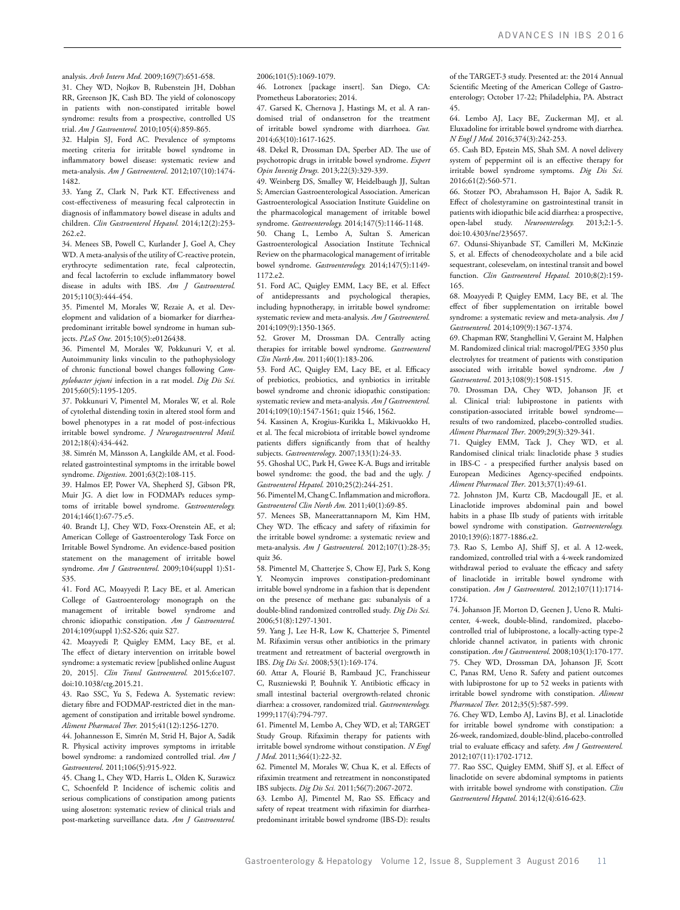analysis. *Arch Intern Med.* 2009;169(7):651-658.

31. Chey WD, Nojkov B, Rubenstein JH, Dobhan RR, Greenson JK, Cash BD. The yield of colonoscopy in patients with non-constipated irritable bowel syndrome: results from a prospective, controlled US trial. *Am J Gastroenterol.* 2010;105(4):859-865.

32. Halpin SJ, Ford AC. Prevalence of symptoms meeting criteria for irritable bowel syndrome in inflammatory bowel disease: systematic review and meta-analysis. *Am J Gastroenterol*. 2012;107(10):1474- 1482.

33. Yang Z, Clark N, Park KT. Effectiveness and cost-effectiveness of measuring fecal calprotectin in diagnosis of inflammatory bowel disease in adults and children. *Clin Gastroenterol Hepatol.* 2014;12(2):253- 262.e2.

34. Menees SB, Powell C, Kurlander J, Goel A, Chey WD. A meta-analysis of the utility of C-reactive protein, erythrocyte sedimentation rate, fecal calprotectin, and fecal lactoferrin to exclude inflammatory bowel disease in adults with IBS. *Am J Gastroenterol.*  2015;110(3):444-454.

35. Pimentel M, Morales W, Rezaie A, et al. Development and validation of a biomarker for diarrheapredominant irritable bowel syndrome in human subjects. *PLoS One.* 2015;10(5):e0126438.

36. Pimentel M, Morales W, Pokkunuri V, et al. Autoimmunity links vinculin to the pathophysiology of chronic functional bowel changes following *Campylobacter jejuni* infection in a rat model. *Dig Dis Sci.* 2015;60(5):1195-1205.

37. Pokkunuri V, Pimentel M, Morales W, et al. Role of cytolethal distending toxin in altered stool form and bowel phenotypes in a rat model of post-infectious irritable bowel syndrome. *J Neurogastroenterol Motil.*  2012;18(4):434-442.

38. Simrén M, Månsson A, Langkilde AM, et al. Foodrelated gastrointestinal symptoms in the irritable bowel syndrome. *Digestion*. 2001;63(2):108-115.

39. Halmos EP, Power VA, Shepherd SJ, Gibson PR, Muir JG. A diet low in FODMAPs reduces symptoms of irritable bowel syndrome. *Gastroenterology.*  2014;146(1):67-75.e5.

40. Brandt LJ, Chey WD, Foxx-Orenstein AE, et al; American College of Gastroenterology Task Force on Irritable Bowel Syndrome. An evidence-based position statement on the management of irritable bowel syndrome. *Am J Gastroenterol*. 2009;104(suppl 1):S1- S35.

41. Ford AC, Moayyedi P, Lacy BE, et al. American College of Gastroenterology monograph on the management of irritable bowel syndrome and chronic idiopathic constipation. *Am J Gastroenterol.* 2014;109(suppl 1):S2-S26; quiz S27.

42. Moayyedi P, Quigley EMM, Lacy BE, et al. The effect of dietary intervention on irritable bowel syndrome: a systematic review [published online August 20, 2015]. *Clin Transl Gastroenterol.* 2015;6:e107. doi:10.1038/ctg.2015.21.

43. Rao SSC, Yu S, Fedewa A. Systematic review: dietary fibre and FODMAP-restricted diet in the management of constipation and irritable bowel syndrome. *Aliment Pharmacol Ther.* 2015;41(12):1256-1270.

44. Johannesson E, Simrén M, Strid H, Bajor A, Sadik R. Physical activity improves symptoms in irritable bowel syndrome: a randomized controlled trial. *Am J Gastroenterol*. 2011;106(5):915-922.

45. Chang L, Chey WD, Harris L, Olden K, Surawicz C, Schoenfeld P. Incidence of ischemic colitis and serious complications of constipation among patients using alosetron: systematic review of clinical trials and post-marketing surveillance data. *Am J Gastroenterol.* 

2006;101(5):1069-1079.

46. Lotronex [package insert]. San Diego, CA: Prometheus Laboratories; 2014.

47. Garsed K, Chernova J, Hastings M, et al. A randomised trial of ondansetron for the treatment of irritable bowel syndrome with diarrhoea. *Gut.*  2014;63(10):1617-1625.

48. Dekel R, Drossman DA, Sperber AD. The use of psychotropic drugs in irritable bowel syndrome. *Expert Opin Investig Drugs.* 2013;22(3):329-339.

49. Weinberg DS, Smalley W, Heidelbaugh JJ, Sultan S; Amercian Gastroenterological Association. American Gastroenterological Association Institute Guideline on the pharmacological management of irritable bowel syndrome. *Gastroenterology.* 2014;147(5):1146-1148.

50. Chang L, Lembo A, Sultan S. American Gastroenterological Association Institute Technical Review on the pharmacological management of irritable bowel syndrome. *Gastroenterology.* 2014;147(5):1149- 1172.e2.

51. Ford AC, Quigley EMM, Lacy BE, et al. Effect of antidepressants and psychological therapies, including hypnotherapy, in irritable bowel syndrome: systematic review and meta-analysis. *Am J Gastroenterol.* 2014;109(9):1350-1365.

52. Grover M, Drossman DA. Centrally acting therapies for irritable bowel syndrome. *Gastroenterol Clin North Am*. 2011;40(1):183-206.

53. Ford AC, Quigley EM, Lacy BE, et al. Efficacy of prebiotics, probiotics, and synbiotics in irritable bowel syndrome and chronic idiopathic constipation: systematic review and meta-analysis. *Am J Gastroenterol.* 2014;109(10):1547-1561; quiz 1546, 1562.

54. Kassinen A, Krogius-Kurikka L, Mäkivuokko H, et al. The fecal microbiota of irritable bowel syndrome patients differs significantly from that of healthy subjects. *Gastroenterology*. 2007;133(1):24-33.

55. Ghoshal UC, Park H, Gwee K-A. Bugs and irritable bowel syndrome: the good, the bad and the ugly. *J Gastroenterol Hepatol.* 2010;25(2):244-251.

56. Pimentel M, Chang C. Inflammation and microflora. *Gastroenterol Clin North Am.* 2011;40(1):69-85.

57. Menees SB, Maneerattannaporn M, Kim HM, Chey WD. The efficacy and safety of rifaximin for the irritable bowel syndrome: a systematic review and meta-analysis. *Am J Gastroenterol.* 2012;107(1):28-35; quiz 36.

58. Pimentel M, Chatterjee S, Chow EJ, Park S, Kong Y. Neomycin improves constipation-predominant irritable bowel syndrome in a fashion that is dependent on the presence of methane gas: subanalysis of a double-blind randomized controlled study. *Dig Dis Sci.* 2006;51(8):1297-1301.

59. Yang J, Lee H-R, Low K, Chatterjee S, Pimentel M. Rifaximin versus other antibiotics in the primary treatment and retreatment of bacterial overgrowth in IBS. *Dig Dis Sci*. 2008;53(1):169-174.

60. Attar A, Flourié B, Rambaud JC, Franchisseur C, Ruszniewski P, Bouhnik Y. Antibiotic efficacy in small intestinal bacterial overgrowth-related chronic diarrhea: a crossover, randomized trial. *Gastroenterology.*  1999;117(4):794-797.

61. Pimentel M, Lembo A, Chey WD, et al; TARGET Study Group. Rifaximin therapy for patients with irritable bowel syndrome without constipation. *N Engl J Med*. 2011;364(1):22-32.

62. Pimentel M, Morales W, Chua K, et al. Effects of rifaximin treatment and retreatment in nonconstipated IBS subjects. *Dig Dis Sci.* 2011;56(7):2067-2072.

63. Lembo AJ, Pimentel M, Rao SS. Efficacy and safety of repeat treatment with rifaximin for diarrheapredominant irritable bowel syndrome (IBS-D): results of the TARGET-3 study. Presented at: the 2014 Annual Scientific Meeting of the American College of Gastroenterology; October 17-22; Philadelphia, PA. Abstract 45.

64. Lembo AJ, Lacy BE, Zuckerman MJ, et al. Eluxadoline for irritable bowel syndrome with diarrhea. *N Engl J Med.* 2016;374(3):242-253.

65. Cash BD, Epstein MS, Shah SM. A novel delivery system of peppermint oil is an effective therapy for irritable bowel syndrome symptoms. *Dig Dis Sci.* 2016;61(2):560-571.

66. Stotzer PO, Abrahamsson H, Bajor A, Sadik R. Effect of cholestyramine on gastrointestinal transit in patients with idiopathic bile acid diarrhea: a prospective, open-label study. *Neuroenterology.* 2013;2:1-5. doi:10.4303/ne/235657.

67. Odunsi-Shiyanbade ST, Camilleri M, McKinzie S, et al. Effects of chenodeoxycholate and a bile acid sequestrant, colesevelam, on intestinal transit and bowel function. *Clin Gastroenterol Hepatol.* 2010;8(2):159- 165.

68. Moayyedi P, Quigley EMM, Lacy BE, et al. The effect of fiber supplementation on irritable bowel syndrome: a systematic review and meta-analysis. *Am J Gastroenterol.* 2014;109(9):1367-1374.

69. Chapman RW, Stanghellini V, Geraint M, Halphen M. Randomized clinical trial: macrogol/PEG 3350 plus electrolytes for treatment of patients with constipation associated with irritable bowel syndrome. *Am J Gastroenterol*. 2013;108(9):1508-1515.

70. Drossman DA, Chey WD, Johanson JF, et al. Clinical trial: lubiprostone in patients with constipation-associated irritable bowel syndrome results of two randomized, placebo-controlled studies. *Aliment Pharmacol Ther*. 2009;29(3):329-341.

71. Quigley EMM, Tack J, Chey WD, et al. Randomised clinical trials: linaclotide phase 3 studies in IBS-C - a prespecified further analysis based on European Medicines Agency-specified endpoints. *Aliment Pharmacol Ther*. 2013;37(1):49-61.

72. Johnston JM, Kurtz CB, Macdougall JE, et al. Linaclotide improves abdominal pain and bowel habits in a phase IIb study of patients with irritable bowel syndrome with constipation. *Gastroenterology.*  2010;139(6):1877-1886.e2.

73. Rao S, Lembo AJ, Shiff SJ, et al. A 12-week, randomized, controlled trial with a 4-week randomized withdrawal period to evaluate the efficacy and safety of linaclotide in irritable bowel syndrome with constipation. *Am J Gastroenterol*. 2012;107(11):1714- 1724.

74. Johanson JF, Morton D, Geenen J, Ueno R. Multicenter, 4-week, double-blind, randomized, placebocontrolled trial of lubiprostone, a locally-acting type-2 chloride channel activator, in patients with chronic constipation. *Am J Gastroenterol.* 2008;103(1):170-177. 75. Chey WD, Drossman DA, Johanson JF, Scott C, Panas RM, Ueno R. Safety and patient outcomes with lubiprostone for up to 52 weeks in patients with irritable bowel syndrome with constipation. *Aliment Pharmacol Ther.* 2012;35(5):587-599.

76. Chey WD, Lembo AJ, Lavins BJ, et al. Linaclotide for irritable bowel syndrome with constipation: a 26-week, randomized, double-blind, placebo-controlled trial to evaluate efficacy and safety. *Am J Gastroenterol.* 2012;107(11):1702-1712.

77. Rao SSC, Quigley EMM, Shiff SJ, et al. Effect of linaclotide on severe abdominal symptoms in patients with irritable bowel syndrome with constipation. *Clin Gastroenterol Hepatol*. 2014;12(4):616-623.